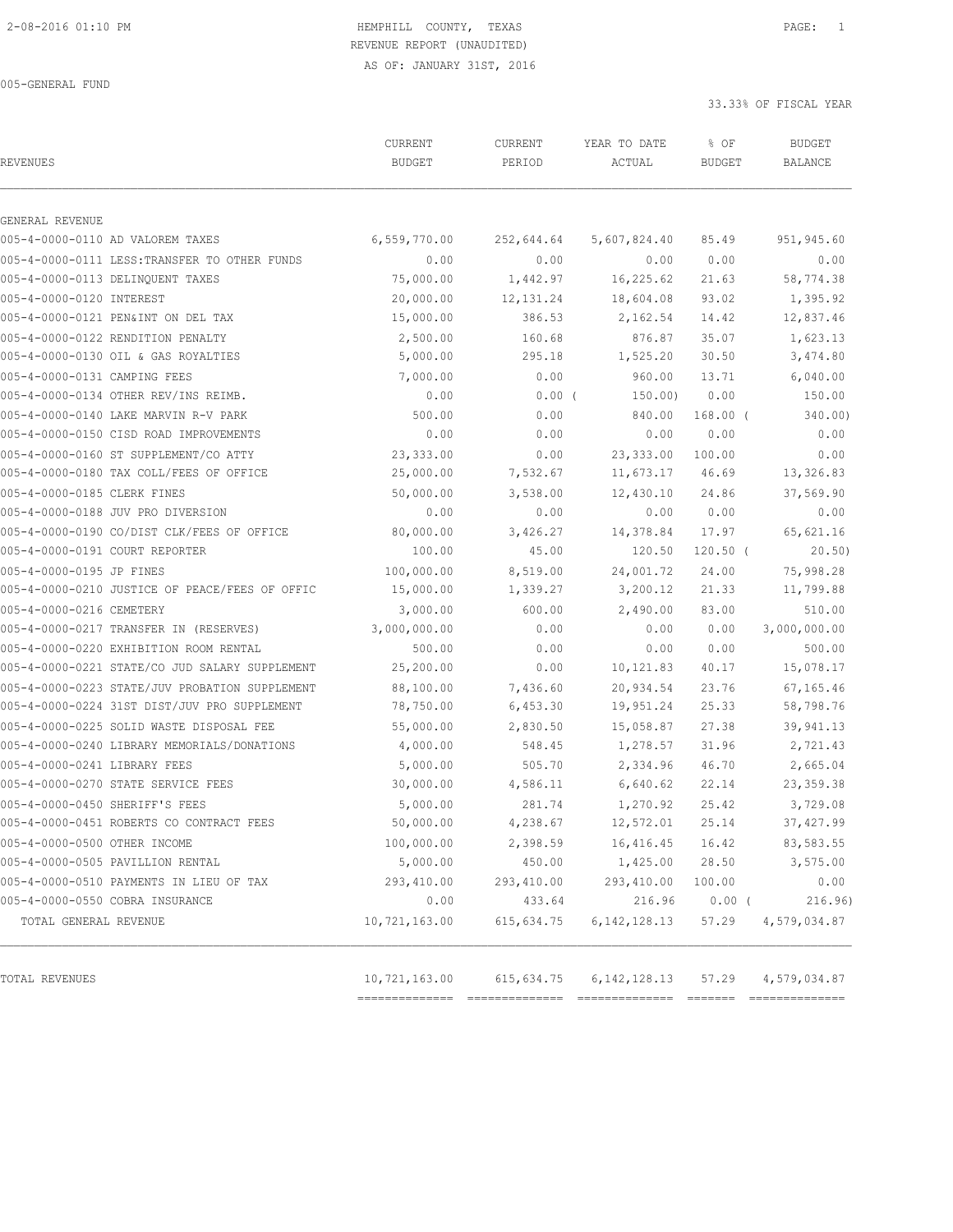#### 2-08-2016 01:10 PM HEMPHILL COUNTY, TEXAS PAGE: 1 REVENUE REPORT (UNAUDITED)

AS OF: JANUARY 31ST, 2016

005-GENERAL FUND

33.33% OF FISCAL YEAR

|                                                | CURRENT       | CURRENT    | YEAR TO DATE    | % OF          | <b>BUDGET</b>  |
|------------------------------------------------|---------------|------------|-----------------|---------------|----------------|
| REVENUES                                       | <b>BUDGET</b> | PERIOD     | ACTUAL          | <b>BUDGET</b> | <b>BALANCE</b> |
| GENERAL REVENUE                                |               |            |                 |               |                |
| 005-4-0000-0110 AD VALOREM TAXES               | 6,559,770.00  | 252,644.64 | 5,607,824.40    | 85.49         | 951,945.60     |
| 005-4-0000-0111 LESS: TRANSFER TO OTHER FUNDS  | 0.00          | 0.00       | 0.00            | 0.00          | 0.00           |
| 005-4-0000-0113 DELINQUENT TAXES               | 75,000.00     | 1,442.97   | 16,225.62       | 21.63         | 58,774.38      |
| 005-4-0000-0120 INTEREST                       | 20,000.00     | 12, 131.24 | 18,604.08       | 93.02         | 1,395.92       |
| 005-4-0000-0121 PEN&INT ON DEL TAX             | 15,000.00     | 386.53     | 2,162.54        | 14.42         | 12,837.46      |
| 005-4-0000-0122 RENDITION PENALTY              | 2,500.00      | 160.68     | 876.87          | 35.07         | 1,623.13       |
| 005-4-0000-0130 OIL & GAS ROYALTIES            | 5,000.00      | 295.18     | 1,525.20        | 30.50         | 3,474.80       |
| 005-4-0000-0131 CAMPING FEES                   | 7,000.00      | 0.00       | 960.00          | 13.71         | 6,040.00       |
| 005-4-0000-0134 OTHER REV/INS REIMB.           | 0.00          | $0.00$ (   | 150.00)         | 0.00          | 150.00         |
| 005-4-0000-0140 LAKE MARVIN R-V PARK           | 500.00        | 0.00       | 840.00          | $168.00$ (    | 340.00)        |
| 005-4-0000-0150 CISD ROAD IMPROVEMENTS         | 0.00          | 0.00       | 0.00            | 0.00          | 0.00           |
| 005-4-0000-0160 ST SUPPLEMENT/CO ATTY          | 23,333.00     | 0.00       | 23, 333.00      | 100.00        | 0.00           |
| 005-4-0000-0180 TAX COLL/FEES OF OFFICE        | 25,000.00     | 7,532.67   | 11,673.17       | 46.69         | 13,326.83      |
| 005-4-0000-0185 CLERK FINES                    | 50,000.00     | 3,538.00   | 12,430.10       | 24.86         | 37,569.90      |
| 005-4-0000-0188 JUV PRO DIVERSION              | 0.00          | 0.00       | 0.00            | 0.00          | 0.00           |
| 005-4-0000-0190 CO/DIST CLK/FEES OF OFFICE     | 80,000.00     | 3,426.27   | 14,378.84       | 17.97         | 65,621.16      |
| 005-4-0000-0191 COURT REPORTER                 | 100.00        | 45.00      | 120.50          | $120.50$ (    | 20.50)         |
| 005-4-0000-0195 JP FINES                       | 100,000.00    | 8,519.00   | 24,001.72       | 24.00         | 75,998.28      |
| 005-4-0000-0210 JUSTICE OF PEACE/FEES OF OFFIC | 15,000.00     | 1,339.27   | 3,200.12        | 21.33         | 11,799.88      |
| 005-4-0000-0216 CEMETERY                       | 3,000.00      | 600.00     | 2,490.00        | 83.00         | 510.00         |
| 005-4-0000-0217 TRANSFER IN (RESERVES)         | 3,000,000.00  | 0.00       | 0.00            | 0.00          | 3,000,000.00   |
| 005-4-0000-0220 EXHIBITION ROOM RENTAL         | 500.00        | 0.00       | 0.00            | 0.00          | 500.00         |
| 005-4-0000-0221 STATE/CO JUD SALARY SUPPLEMENT | 25,200.00     | 0.00       | 10,121.83       | 40.17         | 15,078.17      |
| 005-4-0000-0223 STATE/JUV PROBATION SUPPLEMENT | 88,100.00     | 7,436.60   | 20,934.54       | 23.76         | 67,165.46      |
| 005-4-0000-0224 31ST DIST/JUV PRO SUPPLEMENT   | 78,750.00     | 6,453.30   | 19,951.24       | 25.33         | 58,798.76      |
| 005-4-0000-0225 SOLID WASTE DISPOSAL FEE       | 55,000.00     | 2,830.50   | 15,058.87       | 27.38         | 39,941.13      |
| 005-4-0000-0240 LIBRARY MEMORIALS/DONATIONS    | 4,000.00      | 548.45     | 1,278.57        | 31.96         | 2,721.43       |
| 005-4-0000-0241 LIBRARY FEES                   | 5,000.00      | 505.70     | 2,334.96        | 46.70         | 2,665.04       |
| 005-4-0000-0270 STATE SERVICE FEES             | 30,000.00     | 4,586.11   | 6,640.62        | 22.14         | 23, 359.38     |
| 005-4-0000-0450 SHERIFF'S FEES                 | 5,000.00      | 281.74     | 1,270.92        | 25.42         | 3,729.08       |
| 005-4-0000-0451 ROBERTS CO CONTRACT FEES       | 50,000.00     | 4,238.67   | 12,572.01       | 25.14         | 37,427.99      |
| 005-4-0000-0500 OTHER INCOME                   | 100,000.00    | 2,398.59   | 16, 416.45      | 16.42         | 83,583.55      |
| 005-4-0000-0505 PAVILLION RENTAL               | 5,000.00      | 450.00     | 1,425.00        | 28.50         | 3,575.00       |
| 005-4-0000-0510 PAYMENTS IN LIEU OF TAX        | 293,410.00    | 293,410.00 | 293,410.00      | 100.00        | 0.00           |
| 005-4-0000-0550 COBRA INSURANCE                | 0.00          | 433.64     | 216.96          | $0.00$ (      | 216.96)        |
| TOTAL GENERAL REVENUE                          | 10,721,163.00 | 615,634.75 | 6, 142, 128. 13 | 57.29         | 4,579,034.87   |
|                                                |               |            |                 |               |                |
| TOTAL REVENUES                                 | 10,721,163.00 | 615,634.75 | 6, 142, 128. 13 | 57.29         | 4,579,034.87   |

============== ============== ============== ======= ==============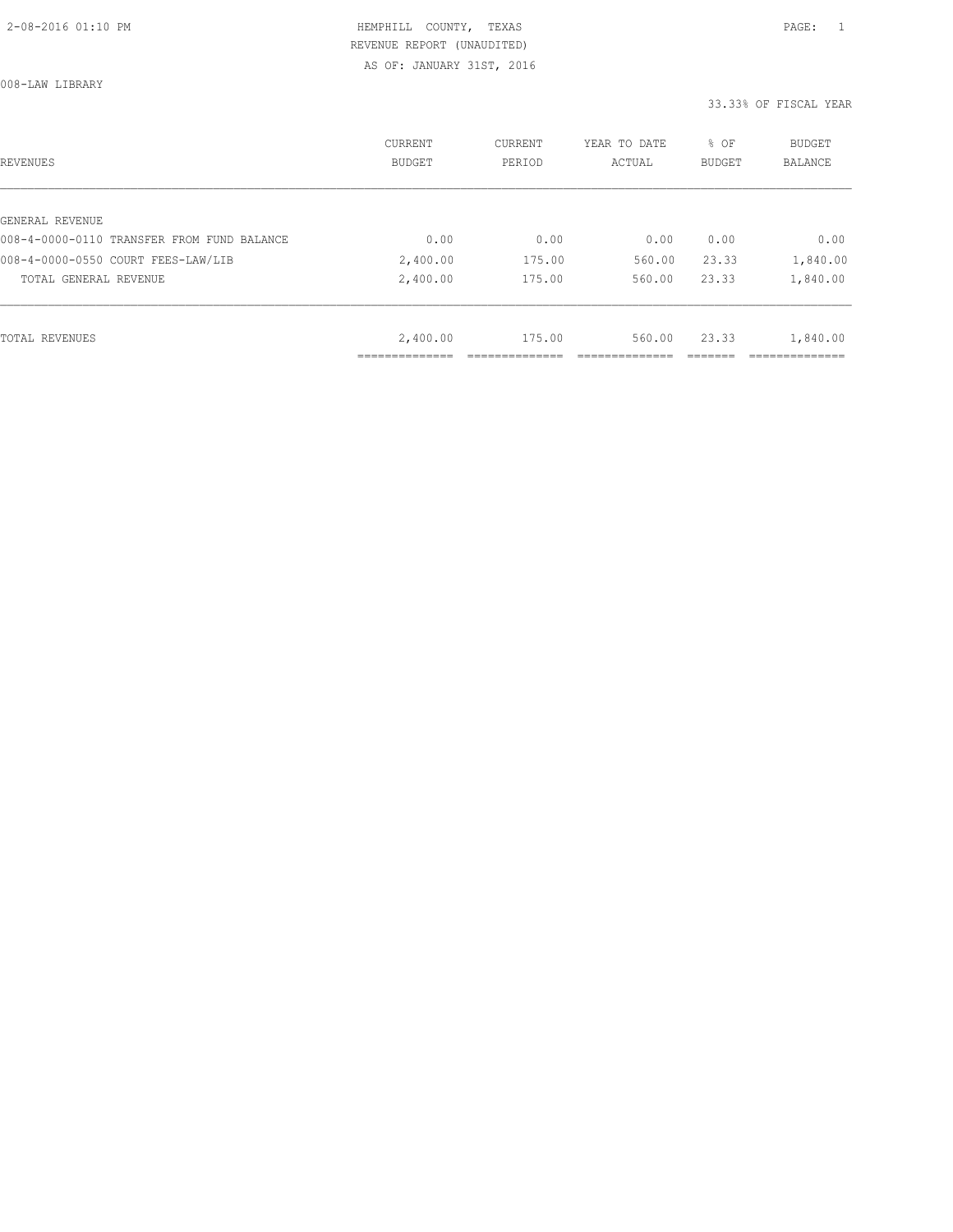008-LAW LIBRARY

| REVENUES                                   | CURRENT<br><b>BUDGET</b> | CURRENT<br>PERIOD | YEAR TO DATE<br>ACTUAL | % OF<br>BUDGET | BUDGET<br><b>BALANCE</b> |
|--------------------------------------------|--------------------------|-------------------|------------------------|----------------|--------------------------|
|                                            |                          |                   |                        |                |                          |
| GENERAL REVENUE                            |                          |                   |                        |                |                          |
| 008-4-0000-0110 TRANSFER FROM FUND BALANCE | 0.00                     | 0.00              | 0.00                   | 0.00           | 0.00                     |
| 008-4-0000-0550 COURT FEES-LAW/LIB         | 2,400.00                 | 175.00            | 560.00                 | 23.33          | 1,840.00                 |
| TOTAL GENERAL REVENUE                      | 2,400.00                 | 175.00            | 560.00                 | 23.33          | 1,840.00                 |
|                                            |                          |                   |                        |                |                          |
| TOTAL REVENUES                             | 2,400.00                 | 175.00            | 560.00                 | 23.33          | 1,840.00                 |
|                                            |                          |                   |                        |                |                          |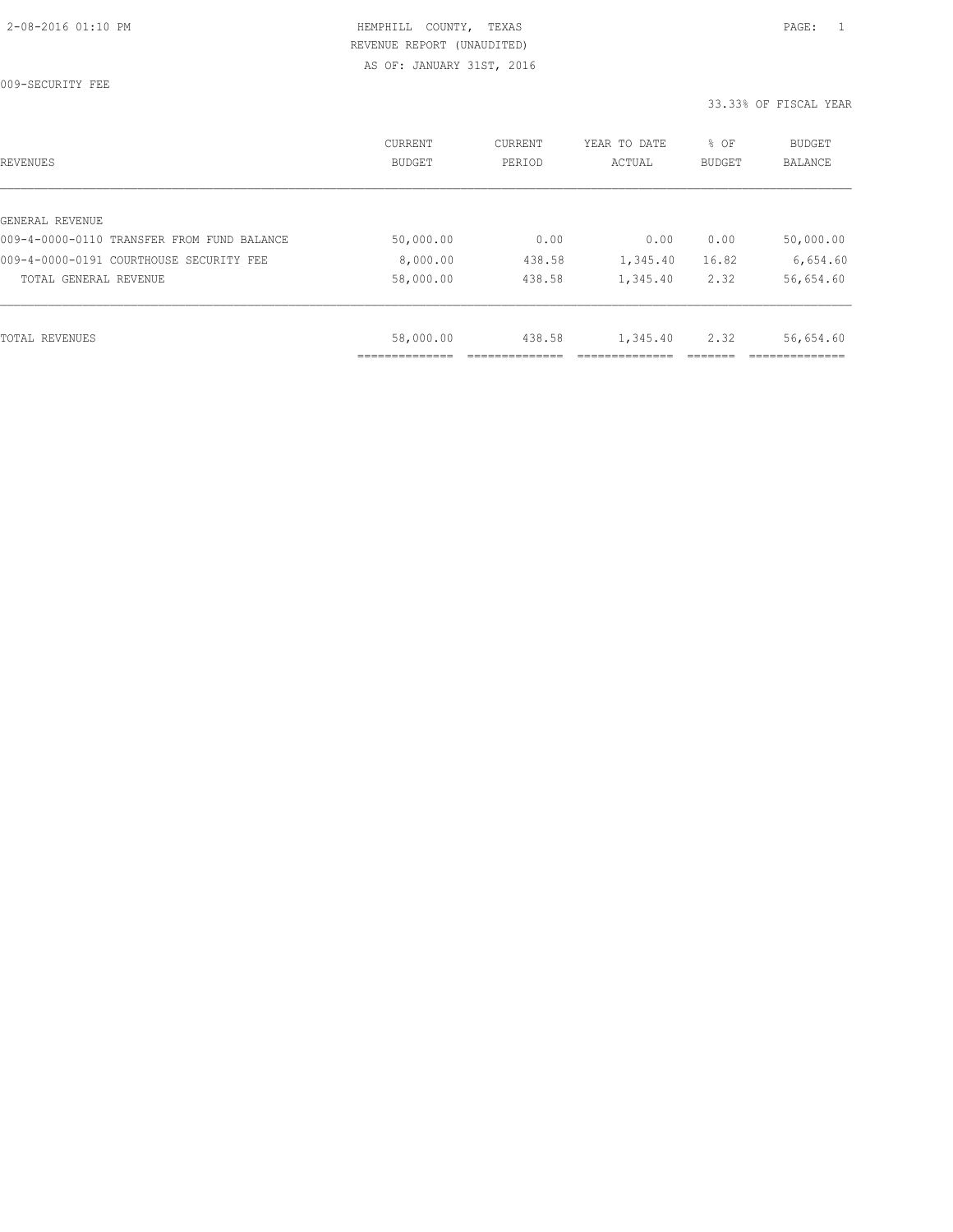009-SECURITY FEE

| REVENUES                                   | CURRENT<br><b>BUDGET</b> | CURRENT<br>PERIOD | YEAR TO DATE<br>ACTUAL | % OF<br>BUDGET | BUDGET<br><b>BALANCE</b> |
|--------------------------------------------|--------------------------|-------------------|------------------------|----------------|--------------------------|
|                                            |                          |                   |                        |                |                          |
| GENERAL REVENUE                            |                          |                   |                        |                |                          |
| 009-4-0000-0110 TRANSFER FROM FUND BALANCE | 50,000.00                | 0.00              | 0.00                   | 0.00           | 50,000.00                |
| 009-4-0000-0191 COURTHOUSE SECURITY FEE    | 8,000.00                 | 438.58            | 1,345.40               | 16.82          | 6,654.60                 |
| TOTAL GENERAL REVENUE                      | 58,000.00                | 438.58            | 1,345.40               | 2.32           | 56,654.60                |
|                                            |                          |                   |                        |                |                          |
| TOTAL REVENUES                             | 58,000.00                | 438.58            | 1,345.40               | 2.32           | 56,654.60                |
|                                            |                          |                   |                        |                |                          |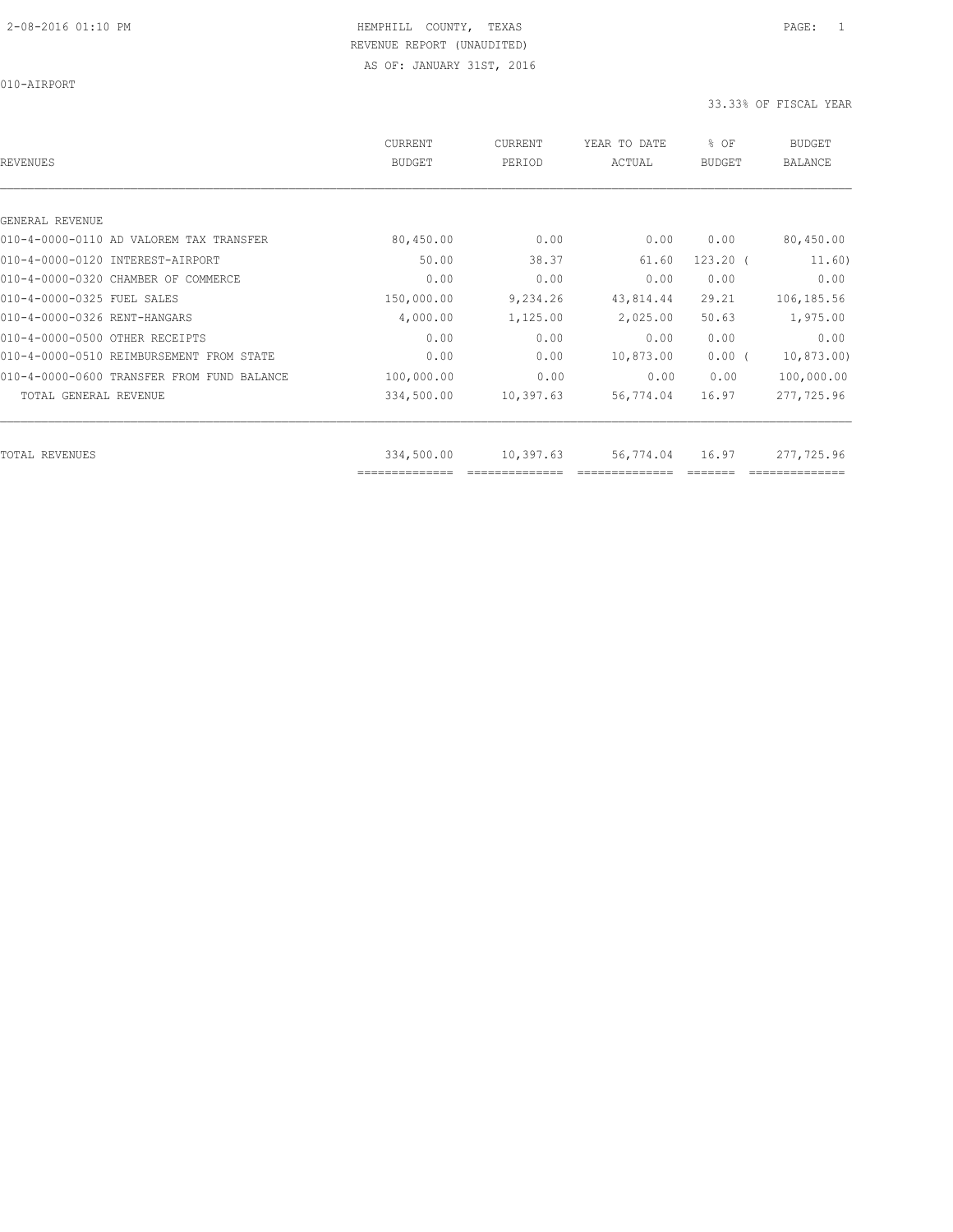| REVENUES                                   | <b>CURRENT</b><br><b>BUDGET</b> | CURRENT<br>PERIOD | YEAR TO DATE<br>ACTUAL | % OF<br><b>BUDGET</b> | <b>BUDGET</b><br><b>BALANCE</b> |
|--------------------------------------------|---------------------------------|-------------------|------------------------|-----------------------|---------------------------------|
|                                            |                                 |                   |                        |                       |                                 |
| GENERAL REVENUE                            |                                 |                   |                        |                       |                                 |
| 010-4-0000-0110 AD VALOREM TAX TRANSFER    | 80,450.00                       | 0.00              | 0.00                   | 0.00                  | 80,450.00                       |
| 010-4-0000-0120 INTEREST-AIRPORT           | 50.00                           | 38.37             | 61.60                  | $123.20$ (            | 11.60)                          |
| 010-4-0000-0320 CHAMBER OF COMMERCE        | 0.00                            | 0.00              | 0.00                   | 0.00                  | 0.00                            |
| 010-4-0000-0325 FUEL SALES                 | 150,000.00                      | 9,234.26          | 43,814.44              | 29.21                 | 106,185.56                      |
| 010-4-0000-0326 RENT-HANGARS               | 4,000.00                        | 1,125.00          | 2,025.00               | 50.63                 | 1,975.00                        |
| 010-4-0000-0500 OTHER RECEIPTS             | 0.00                            | 0.00              | 0.00                   | 0.00                  | 0.00                            |
| 010-4-0000-0510 REIMBURSEMENT FROM STATE   | 0.00                            | 0.00              | 10,873.00              | $0.00$ (              | 10,873.00)                      |
| 010-4-0000-0600 TRANSFER FROM FUND BALANCE | 100,000.00                      | 0.00              | 0.00                   | 0.00                  | 100,000.00                      |
| TOTAL GENERAL REVENUE                      | 334,500.00                      | 10,397.63         | 56,774.04              | 16.97                 | 277,725.96                      |
|                                            |                                 |                   |                        |                       | 277,725.96                      |
| TOTAL REVENUES                             | 334,500.00                      | 10,397.63         | 56,774.04              |                       | 16.97                           |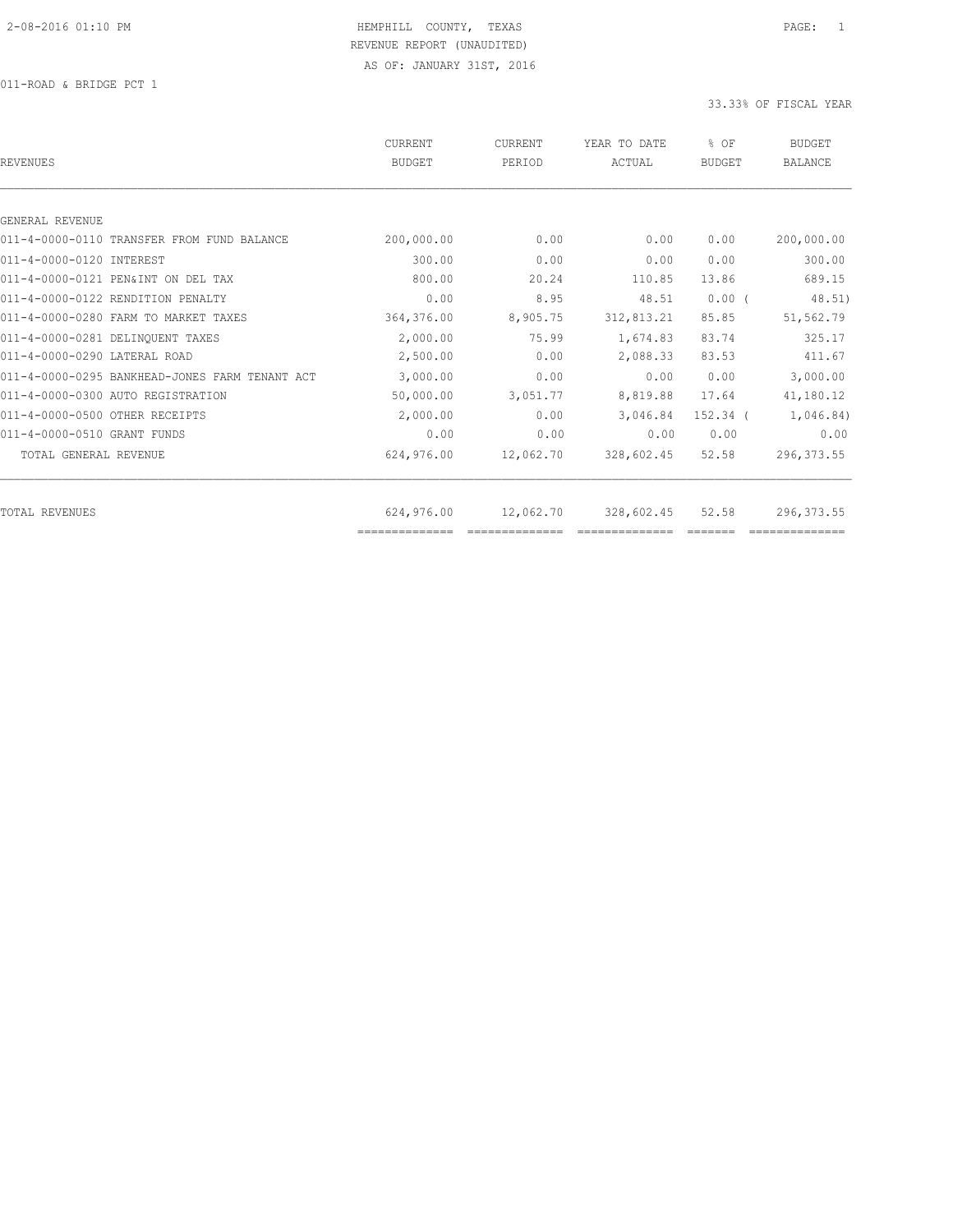011-ROAD & BRIDGE PCT 1

| REVENUES                                       | CURRENT<br><b>BUDGET</b> | CURRENT<br>PERIOD | YEAR TO DATE<br>ACTUAL | % OF<br><b>BUDGET</b> | <b>BUDGET</b><br><b>BALANCE</b> |
|------------------------------------------------|--------------------------|-------------------|------------------------|-----------------------|---------------------------------|
|                                                |                          |                   |                        |                       |                                 |
| GENERAL REVENUE                                |                          |                   |                        |                       |                                 |
| 011-4-0000-0110 TRANSFER FROM FUND BALANCE     | 200,000.00               | 0.00              | 0.00                   | 0.00                  | 200,000.00                      |
| 011-4-0000-0120 INTEREST                       | 300.00                   | 0.00              | 0.00                   | 0.00                  | 300.00                          |
| 011-4-0000-0121 PEN&INT ON DEL TAX             | 800.00                   | 20.24             | 110.85                 | 13.86                 | 689.15                          |
| 011-4-0000-0122 RENDITION PENALTY              | 0.00                     | 8.95              | 48.51                  | $0.00$ (              | 48.51)                          |
| 011-4-0000-0280 FARM TO MARKET TAXES           | 364,376.00               | 8,905.75          | 312,813.21             | 85.85                 | 51,562.79                       |
| 011-4-0000-0281 DELINQUENT TAXES               | 2,000.00                 | 75.99             | 1,674.83               | 83.74                 | 325.17                          |
| 011-4-0000-0290 LATERAL ROAD                   | 2,500.00                 | 0.00              | 2,088.33               | 83.53                 | 411.67                          |
| 011-4-0000-0295 BANKHEAD-JONES FARM TENANT ACT | 3,000.00                 | 0.00              | 0.00                   | 0.00                  | 3,000.00                        |
| 011-4-0000-0300 AUTO REGISTRATION              | 50,000.00                | 3,051.77          | 8,819.88               | 17.64                 | 41,180.12                       |
| 011-4-0000-0500 OTHER RECEIPTS                 | 2,000.00                 | 0.00              | 3,046.84               | 152.34 (              | 1,046.84)                       |
| 011-4-0000-0510 GRANT FUNDS                    | 0.00                     | 0.00              | 0.00                   | 0.00                  | 0.00                            |
| TOTAL GENERAL REVENUE                          | 624,976.00               | 12,062.70         | 328,602.45             | 52.58                 | 296, 373.55                     |
| TOTAL REVENUES                                 | 624,976.00               | 12,062.70         | 328,602.45             | 52.58                 | 296, 373.55                     |
|                                                | ==============           |                   |                        |                       |                                 |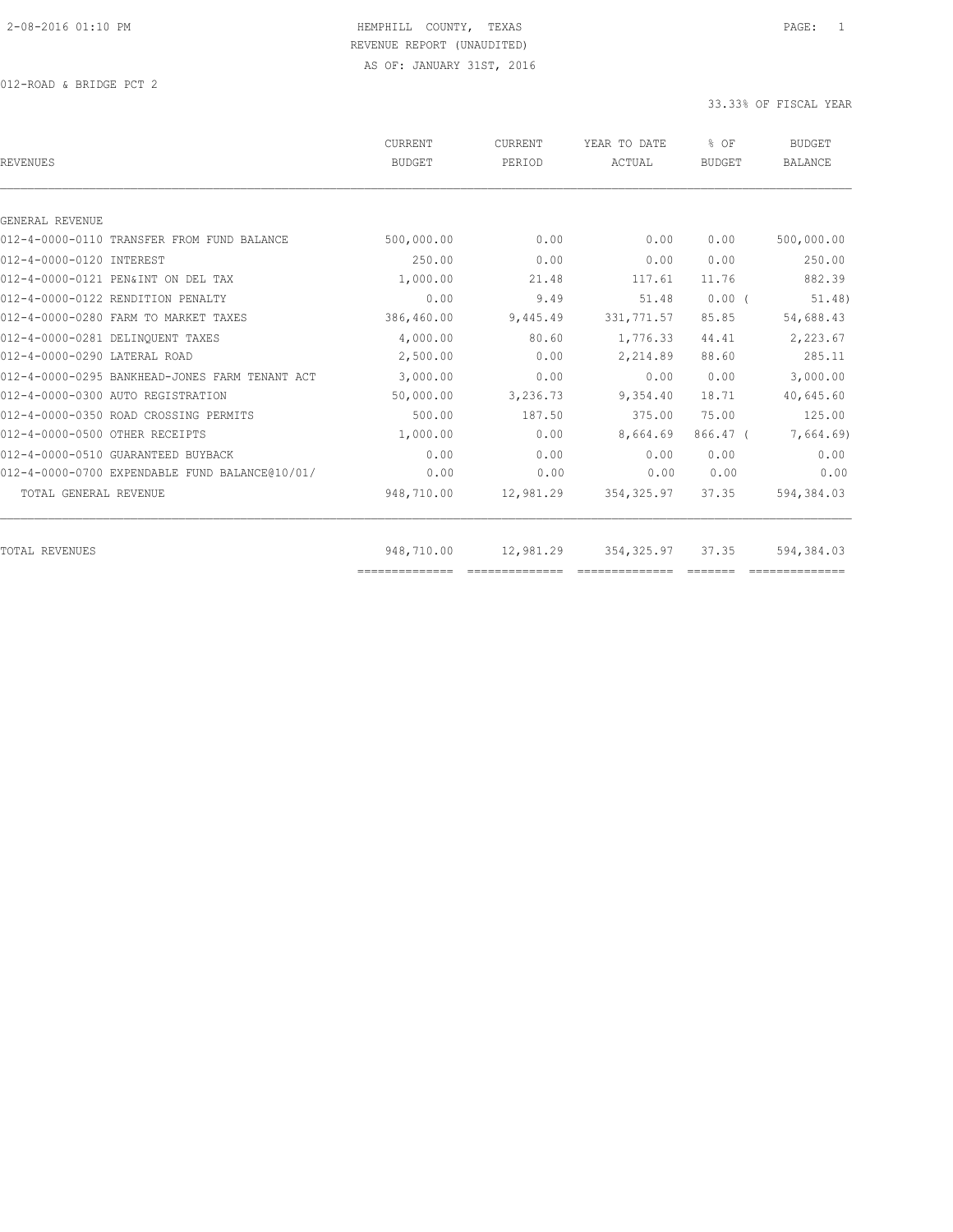012-ROAD & BRIDGE PCT 2

| <b>REVENUES</b>                                | <b>CURRENT</b><br>BUDGET | CURRENT<br>PERIOD | YEAR TO DATE<br>ACTUAL | % OF<br><b>BUDGET</b> | <b>BUDGET</b><br><b>BALANCE</b> |
|------------------------------------------------|--------------------------|-------------------|------------------------|-----------------------|---------------------------------|
|                                                |                          |                   |                        |                       |                                 |
| GENERAL REVENUE                                |                          |                   |                        |                       |                                 |
| 012-4-0000-0110 TRANSFER FROM FUND BALANCE     | 500,000.00               | 0.00              | 0.00                   | 0.00                  | 500,000.00                      |
| 012-4-0000-0120 INTEREST                       | 250.00                   | 0.00              | 0.00                   | 0.00                  | 250.00                          |
| 012-4-0000-0121 PEN&INT ON DEL TAX             | 1,000.00                 | 21.48             | 117.61                 | 11.76                 | 882.39                          |
| 012-4-0000-0122 RENDITION PENALTY              | 0.00                     | 9.49              | 51.48                  | $0.00$ (              | 51.48)                          |
| 012-4-0000-0280 FARM TO MARKET TAXES           | 386,460.00               | 9,445.49          | 331, 771.57            | 85.85                 | 54,688.43                       |
| 012-4-0000-0281 DELINQUENT TAXES               | 4,000.00                 | 80.60             | 1,776.33               | 44.41                 | 2,223.67                        |
| 012-4-0000-0290 LATERAL ROAD                   | 2,500.00                 | 0.00              | 2,214.89               | 88.60                 | 285.11                          |
| 012-4-0000-0295 BANKHEAD-JONES FARM TENANT ACT | 3,000.00                 | 0.00              | 0.00                   | 0.00                  | 3,000.00                        |
| 012-4-0000-0300 AUTO REGISTRATION              | 50,000.00                | 3,236.73          | 9,354.40               | 18.71                 | 40,645.60                       |
| 012-4-0000-0350 ROAD CROSSING PERMITS          | 500.00                   | 187.50            | 375.00                 | 75.00                 | 125.00                          |
| 012-4-0000-0500 OTHER RECEIPTS                 | 1,000.00                 | 0.00              | 8,664.69               | $866.47$ (            | 7,664.69)                       |
| 012-4-0000-0510 GUARANTEED BUYBACK             | 0.00                     | 0.00              | 0.00                   | 0.00                  | 0.00                            |
| 012-4-0000-0700 EXPENDABLE FUND BALANCE@10/01/ | 0.00                     | 0.00              | 0.00                   | 0.00                  | 0.00                            |
| TOTAL GENERAL REVENUE                          | 948,710.00               | 12,981.29         | 354, 325.97            | 37.35                 | 594,384.03                      |
| TOTAL REVENUES                                 | 948,710.00               | 12,981.29         | 354, 325.97            | 37.35                 | 594,384.03                      |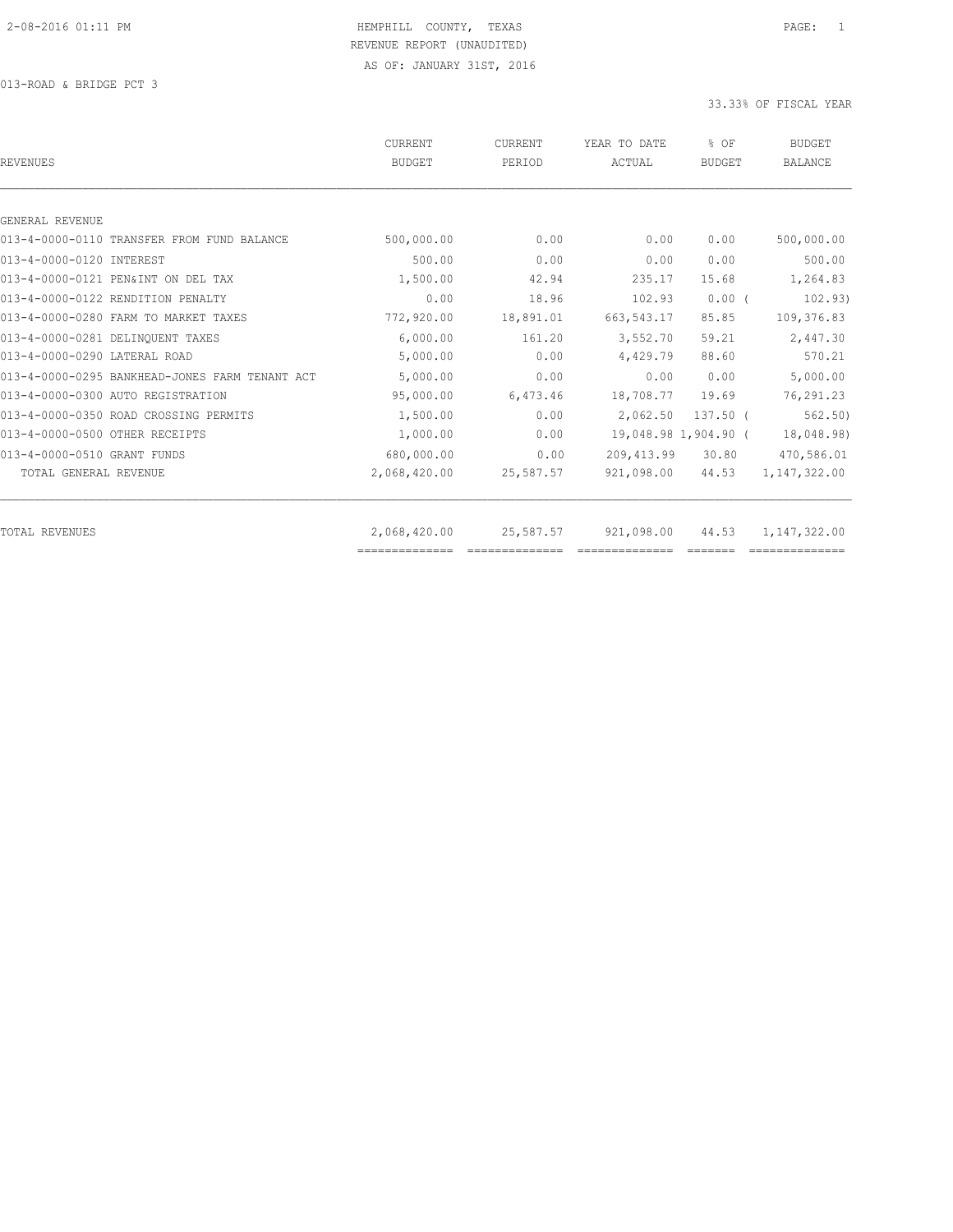013-ROAD & BRIDGE PCT 3

| 500,000.00<br>0.00<br>500.00<br>0.00<br>1,500.00<br>42.94 | 0.00<br>0.00 | 0.00<br>0.00                                                                         | 500,000.00                                                                                                       |
|-----------------------------------------------------------|--------------|--------------------------------------------------------------------------------------|------------------------------------------------------------------------------------------------------------------|
|                                                           |              |                                                                                      |                                                                                                                  |
|                                                           |              |                                                                                      |                                                                                                                  |
|                                                           |              |                                                                                      |                                                                                                                  |
|                                                           |              |                                                                                      | 500.00                                                                                                           |
|                                                           | 235.17       | 15.68                                                                                | 1,264.83                                                                                                         |
| 0.00<br>18.96                                             | 102.93       | $0.00$ (                                                                             | 102.93)                                                                                                          |
| 772,920.00<br>18,891.01                                   | 663, 543.17  | 85.85                                                                                | 109,376.83                                                                                                       |
| 6.000.00<br>161.20                                        | 3,552.70     | 59.21                                                                                | 2,447.30                                                                                                         |
| 5,000.00<br>0.00                                          | 4,429.79     | 88.60                                                                                | 570.21                                                                                                           |
| 5,000.00                                                  |              | 0.00                                                                                 | 5,000.00                                                                                                         |
| 95,000.00                                                 |              | 19.69                                                                                | 76,291.23                                                                                                        |
| 1,500.00                                                  |              |                                                                                      | 562, 50)                                                                                                         |
| 1,000.00                                                  |              |                                                                                      | 18,048.98)                                                                                                       |
| 680,000.00                                                |              | 30.80                                                                                | 470,586.01                                                                                                       |
| 2,068,420.00                                              |              | 44.53                                                                                | 1,147,322.00                                                                                                     |
|                                                           |              | 44.53                                                                                | 1,147,322.00                                                                                                     |
|                                                           | 2,068,420.00 | 0.00<br>6,473.46<br>0.00<br>0.00<br>0.00<br>25,587.57<br>25,587.57<br>============== | 0.00<br>18,708.77<br>$137.50$ $($<br>2,062.50<br>19,048.98 1,904.90 (<br>209, 413.99<br>921,098.00<br>921,098.00 |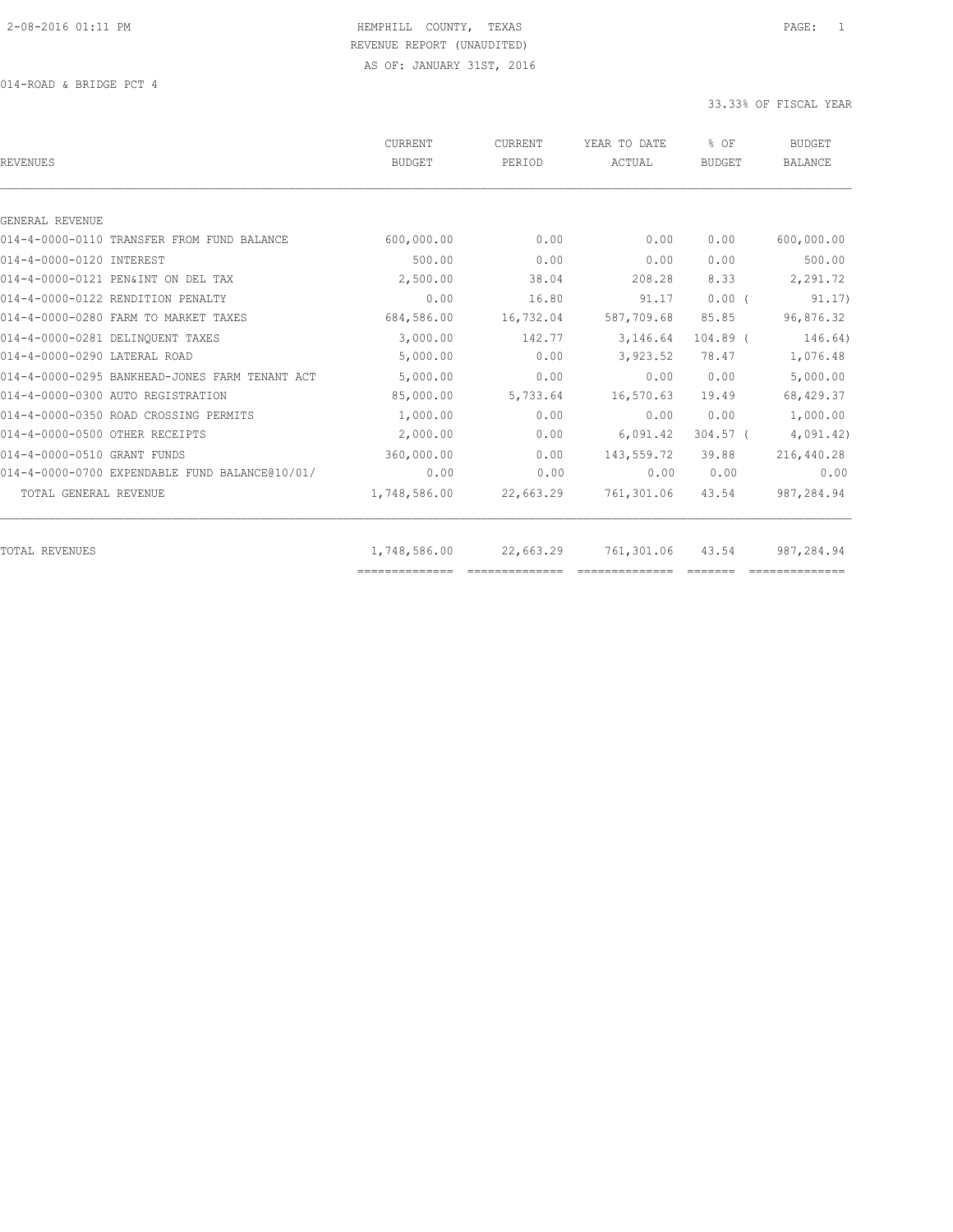014-ROAD & BRIDGE PCT 4

| <b>REVENUES</b>                                | <b>CURRENT</b><br>BUDGET       | CURRENT<br>PERIOD | YEAR TO DATE<br>ACTUAL | % OF<br><b>BUDGET</b> | <b>BUDGET</b><br><b>BALANCE</b> |
|------------------------------------------------|--------------------------------|-------------------|------------------------|-----------------------|---------------------------------|
|                                                |                                |                   |                        |                       |                                 |
| GENERAL REVENUE                                |                                |                   |                        |                       |                                 |
| 014-4-0000-0110 TRANSFER FROM FUND BALANCE     | 600,000.00                     | 0.00              | 0.00                   | 0.00                  | 600,000.00                      |
| 014-4-0000-0120 INTEREST                       | 500.00                         | 0.00              | 0.00                   | 0.00                  | 500.00                          |
| 014-4-0000-0121 PEN&INT ON DEL TAX             | 2,500.00                       | 38.04             | 208.28                 | 8.33                  | 2,291.72                        |
| 014-4-0000-0122 RENDITION PENALTY              | 0.00                           | 16.80             | 91.17                  | $0.00$ (              | 91.17)                          |
| 014-4-0000-0280 FARM TO MARKET TAXES           | 684,586.00                     | 16,732.04         | 587,709.68             | 85.85                 | 96,876.32                       |
| 014-4-0000-0281 DELINQUENT TAXES               | 3,000.00                       | 142.77            | 3,146.64               | $104.89$ (            | 146.64)                         |
| 014-4-0000-0290 LATERAL ROAD                   | 5,000.00                       | 0.00              | 3,923.52               | 78.47                 | 1,076.48                        |
| 014-4-0000-0295 BANKHEAD-JONES FARM TENANT ACT | 5,000.00                       | 0.00              | 0.00                   | 0.00                  | 5,000.00                        |
| 014-4-0000-0300 AUTO REGISTRATION              | 85,000.00                      | 5,733.64          | 16,570.63              | 19.49                 | 68,429.37                       |
| 014-4-0000-0350 ROAD CROSSING PERMITS          | 1,000.00                       | 0.00              | 0.00                   | 0.00                  | 1,000.00                        |
| 014-4-0000-0500 OTHER RECEIPTS                 | 2,000.00                       | 0.00              | 6,091.42               | $304.57$ (            | 4,091.42)                       |
| 014-4-0000-0510 GRANT FUNDS                    | 360,000.00                     | 0.00              | 143,559.72             | 39.88                 | 216,440.28                      |
| 014-4-0000-0700 EXPENDABLE FUND BALANCE@10/01/ | 0.00                           | 0.00              | 0.00                   | 0.00                  | 0.00                            |
| TOTAL GENERAL REVENUE                          | 1,748,586.00                   | 22,663.29         | 761,301.06             | 43.54                 | 987,284.94                      |
|                                                |                                |                   |                        |                       |                                 |
| TOTAL REVENUES                                 | 1,748,586.00<br>============== | 22,663.29         | 761,301.06             | 43.54                 | 987,284.94                      |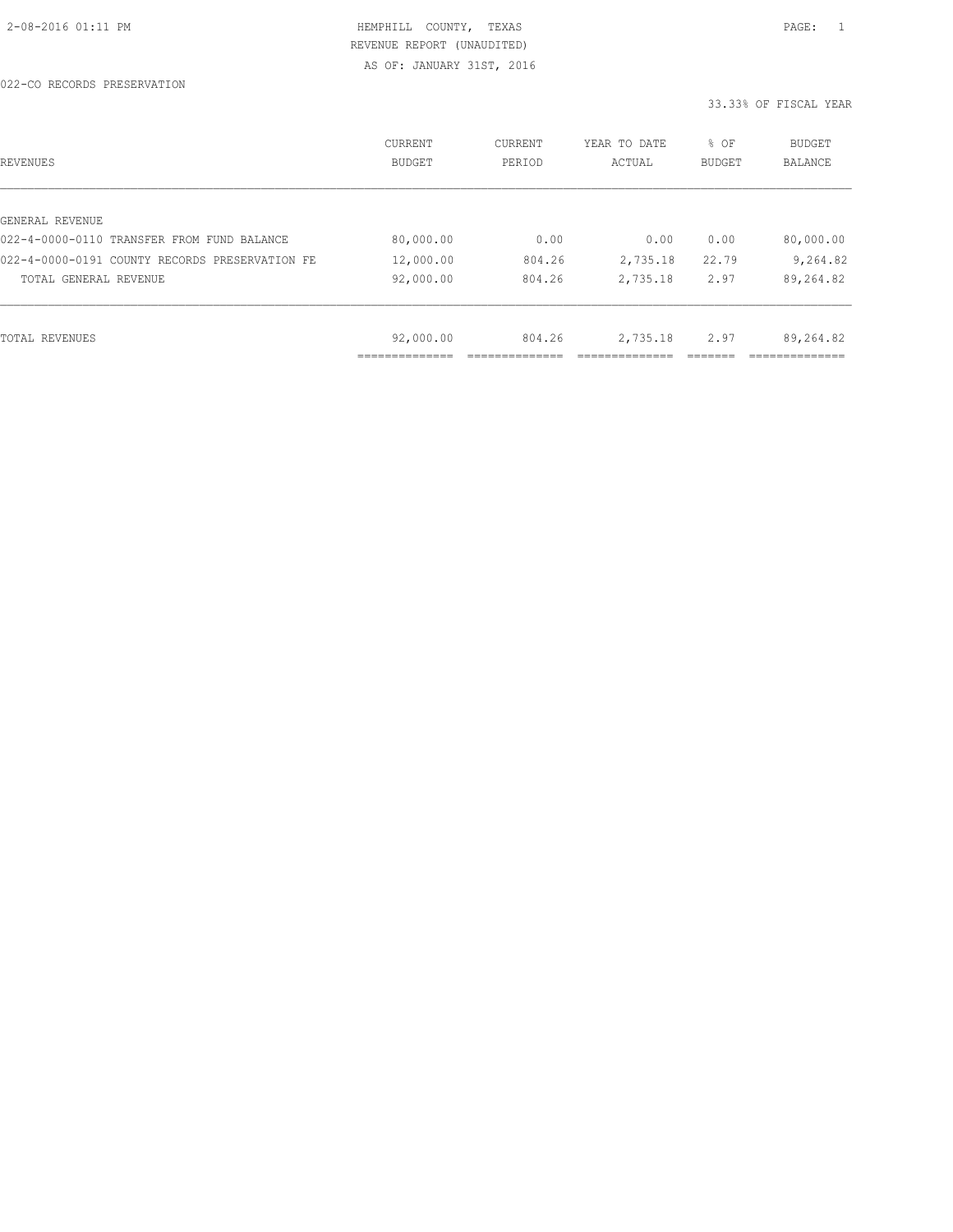| REVENUES                                       | CURRENT<br><b>BUDGET</b> | CURRENT<br>PERIOD | YEAR TO DATE<br>ACTUAL | % OF<br><b>BUDGET</b> | <b>BUDGET</b><br><b>BALANCE</b> |
|------------------------------------------------|--------------------------|-------------------|------------------------|-----------------------|---------------------------------|
|                                                |                          |                   |                        |                       |                                 |
| GENERAL REVENUE                                |                          |                   |                        |                       |                                 |
| 022-4-0000-0110 TRANSFER FROM FUND BALANCE     | 80,000.00                | 0.00              | 0.00                   | 0.00                  | 80,000.00                       |
| 022-4-0000-0191 COUNTY RECORDS PRESERVATION FE | 12,000.00                | 804.26            | 2,735.18               | 22.79                 | 9,264.82                        |
| TOTAL GENERAL REVENUE                          | 92,000.00                | 804.26            | 2,735.18               | 2.97                  | 89,264.82                       |
|                                                |                          |                   |                        |                       |                                 |
| TOTAL REVENUES                                 | 92,000.00                | 804.26            | 2,735.18               | 2.97                  | 89,264.82                       |
|                                                |                          |                   |                        |                       |                                 |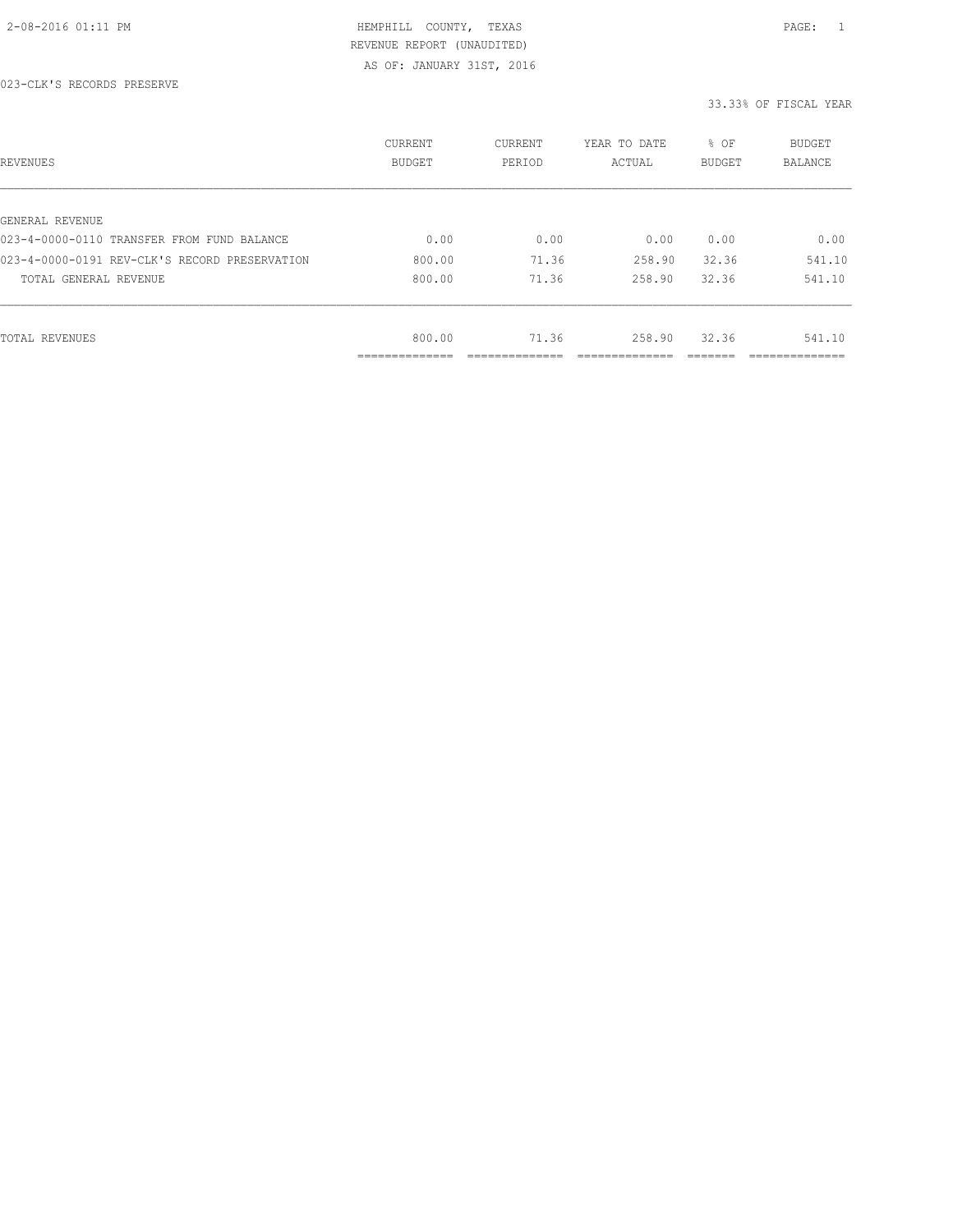| REVENUES                                      | CURRENT<br><b>BUDGET</b>   | CURRENT<br>PERIOD | YEAR TO DATE<br>ACTUAL | % OF<br>BUDGET | BUDGET<br><b>BALANCE</b> |
|-----------------------------------------------|----------------------------|-------------------|------------------------|----------------|--------------------------|
|                                               |                            |                   |                        |                |                          |
| GENERAL REVENUE                               |                            |                   |                        |                |                          |
| 023-4-0000-0110 TRANSFER FROM FUND BALANCE    | 0.00                       | 0.00              | 0.00                   | 0.00           | 0.00                     |
| 023-4-0000-0191 REV-CLK'S RECORD PRESERVATION | 800.00                     | 71.36             | 258.90                 | 32.36          | 541.10                   |
| TOTAL GENERAL REVENUE                         | 800.00                     | 71.36             | 258.90                 | 32.36          | 541.10                   |
|                                               |                            |                   |                        |                |                          |
| TOTAL REVENUES                                | 800.00                     | 71.36             | 258.90                 | 32.36          | 541.10                   |
|                                               | -----------<br>----------- |                   |                        |                | ___________              |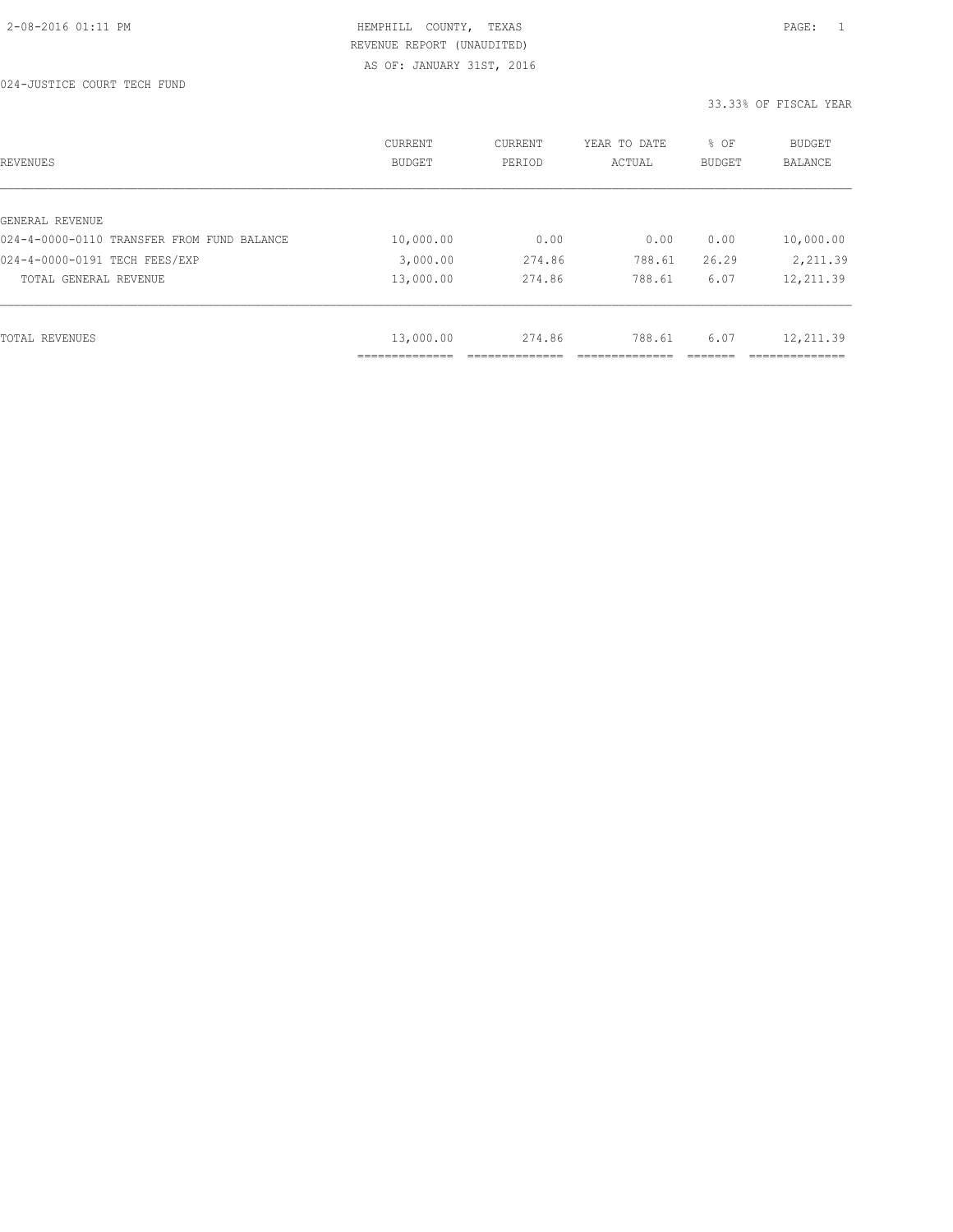024-JUSTICE COURT TECH FUND

| REVENUES                                   | CURRENT<br><b>BUDGET</b>   | CURRENT<br>PERIOD | YEAR TO DATE<br>ACTUAL | % OF<br>BUDGET | <b>BUDGET</b><br><b>BALANCE</b> |
|--------------------------------------------|----------------------------|-------------------|------------------------|----------------|---------------------------------|
|                                            |                            |                   |                        |                |                                 |
| GENERAL REVENUE                            |                            |                   |                        |                |                                 |
| 024-4-0000-0110 TRANSFER FROM FUND BALANCE | 10,000.00                  | 0.00              | 0.00                   | 0.00           | 10,000.00                       |
| 024-4-0000-0191 TECH FEES/EXP              | 3,000.00                   | 274.86            | 788.61                 | 26.29          | 2,211.39                        |
| TOTAL GENERAL REVENUE                      | 13,000.00                  | 274.86            | 788.61                 | 6.07           | 12,211.39                       |
|                                            |                            |                   |                        |                |                                 |
| TOTAL REVENUES                             | 13,000.00                  | 274.86            | 788.61                 | 6.07           | 12,211.39                       |
|                                            | -----------<br>----------- |                   |                        |                |                                 |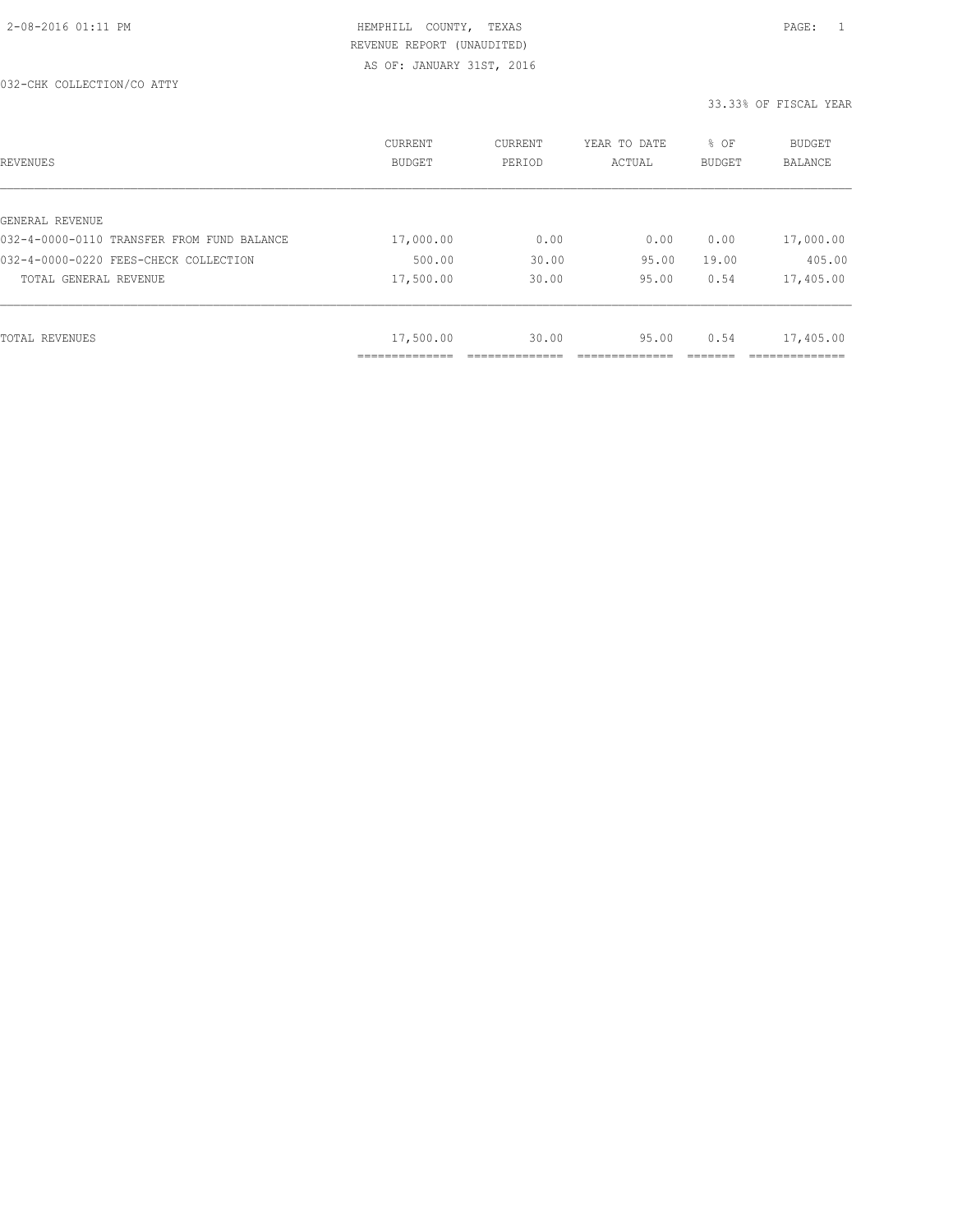| REVENUES                                   | CURRENT<br><b>BUDGET</b> | CURRENT<br>PERIOD | YEAR TO DATE<br>ACTUAL | % OF<br>BUDGET | BUDGET<br><b>BALANCE</b> |
|--------------------------------------------|--------------------------|-------------------|------------------------|----------------|--------------------------|
|                                            |                          |                   |                        |                |                          |
| GENERAL REVENUE                            |                          |                   |                        |                |                          |
| 032-4-0000-0110 TRANSFER FROM FUND BALANCE | 17,000.00                | 0.00              | 0.00                   | 0.00           | 17,000.00                |
| 032-4-0000-0220 FEES-CHECK COLLECTION      | 500.00                   | 30.00             | 95.00                  | 19.00          | 405.00                   |
| TOTAL GENERAL REVENUE                      | 17,500.00                | 30.00             | 95.00                  | 0.54           | 17,405.00                |
|                                            |                          |                   |                        |                |                          |
| TOTAL REVENUES                             | 17,500.00                | 30.00             | 95.00                  | 0.54           | 17,405.00                |
|                                            | ____________             |                   |                        |                |                          |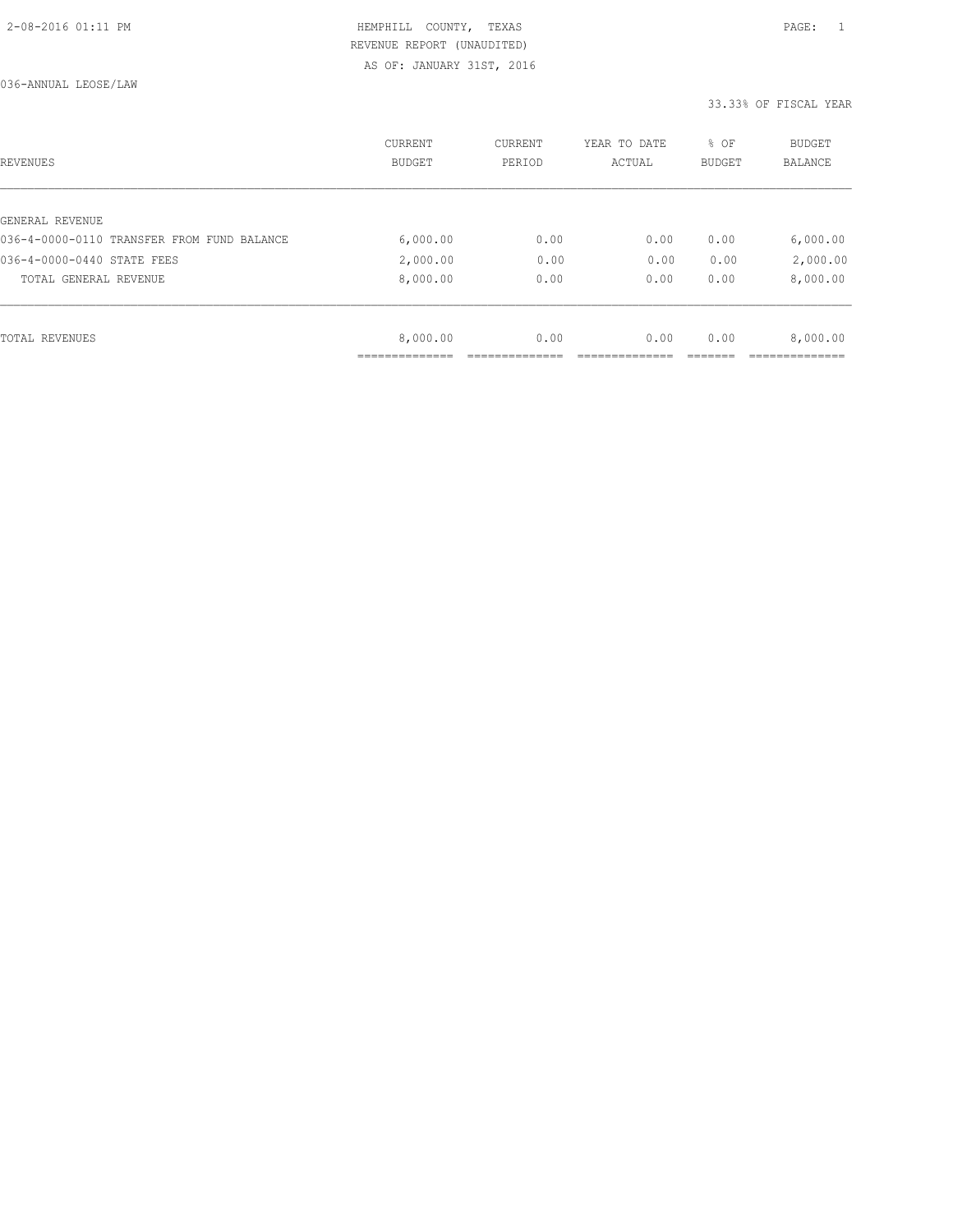| REVENUES                                   | CURRENT<br><b>BUDGET</b> | CURRENT<br>PERIOD | YEAR TO DATE<br>ACTUAL | % OF<br>BUDGET | BUDGET<br><b>BALANCE</b> |
|--------------------------------------------|--------------------------|-------------------|------------------------|----------------|--------------------------|
|                                            |                          |                   |                        |                |                          |
| GENERAL REVENUE                            |                          |                   |                        |                |                          |
| 036-4-0000-0110 TRANSFER FROM FUND BALANCE | 6,000.00                 | 0.00              | 0.00                   | 0.00           | 6,000.00                 |
| 036-4-0000-0440 STATE FEES                 | 2,000.00                 | 0.00              | 0.00                   | 0.00           | 2,000.00                 |
| TOTAL GENERAL REVENUE                      | 8,000.00                 | 0.00              | 0.00                   | 0.00           | 8,000.00                 |
|                                            |                          |                   |                        |                |                          |
| TOTAL REVENUES                             | 8,000.00                 | 0.00              | 0.00                   | 0.00           | 8,000.00                 |
|                                            | ___________              |                   |                        |                |                          |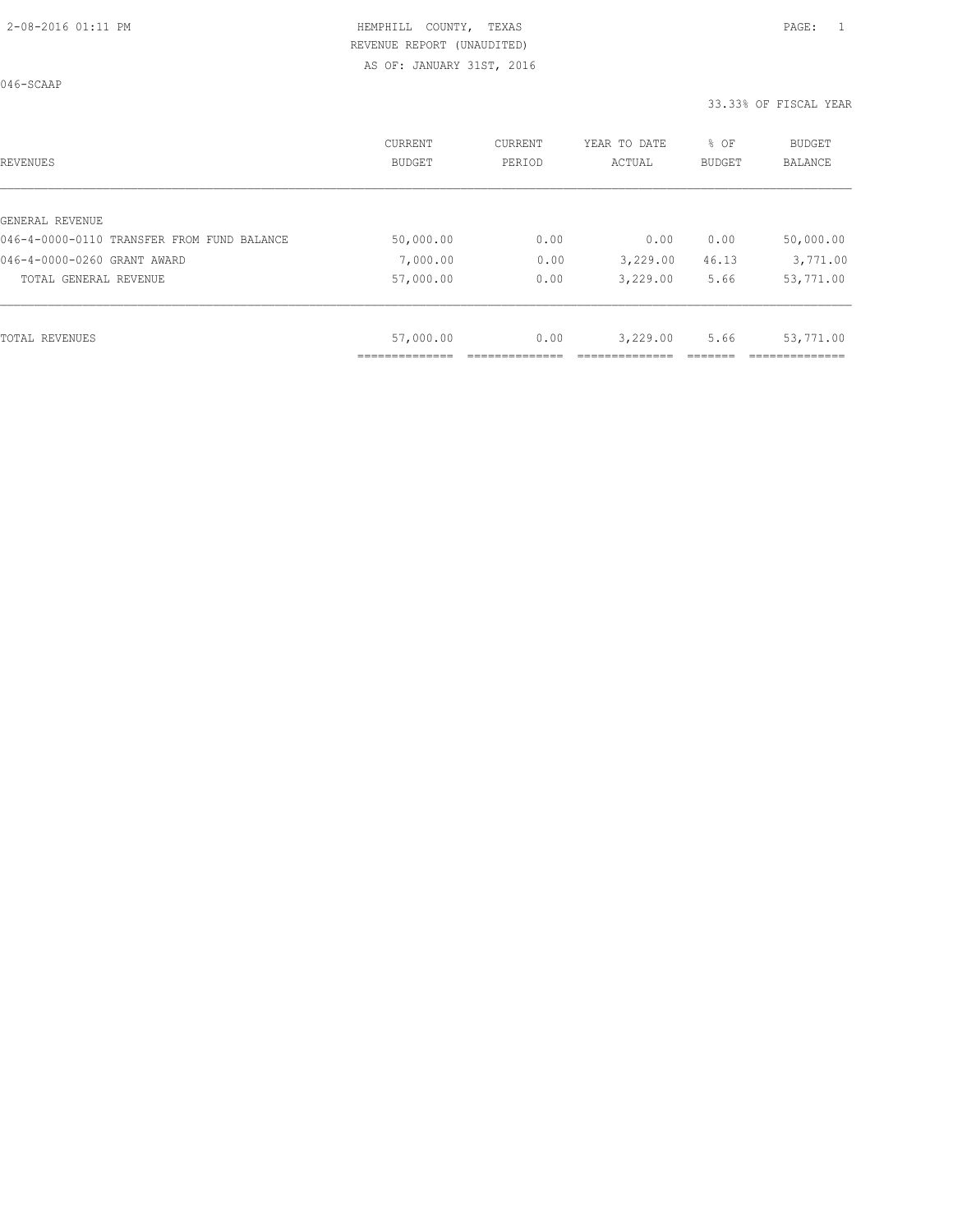046-SCAAP

| REVENUES                                   | CURRENT<br><b>BUDGET</b> | CURRENT<br>PERIOD | YEAR TO DATE<br>ACTUAL | % OF<br>BUDGET | BUDGET<br><b>BALANCE</b> |
|--------------------------------------------|--------------------------|-------------------|------------------------|----------------|--------------------------|
|                                            |                          |                   |                        |                |                          |
| GENERAL REVENUE                            |                          |                   |                        |                |                          |
| 046-4-0000-0110 TRANSFER FROM FUND BALANCE | 50,000.00                | 0.00              | 0.00                   | 0.00           | 50,000.00                |
| 046-4-0000-0260 GRANT AWARD                | 7,000.00                 | 0.00              | 3,229.00               | 46.13          | 3,771.00                 |
| TOTAL GENERAL REVENUE                      | 57,000.00                | 0.00              | 3,229.00               | 5.66           | 53,771.00                |
|                                            |                          |                   |                        |                |                          |
| TOTAL REVENUES                             | 57,000.00                | 0.00              | 3,229.00               | 5.66           | 53,771.00                |
|                                            |                          |                   |                        |                |                          |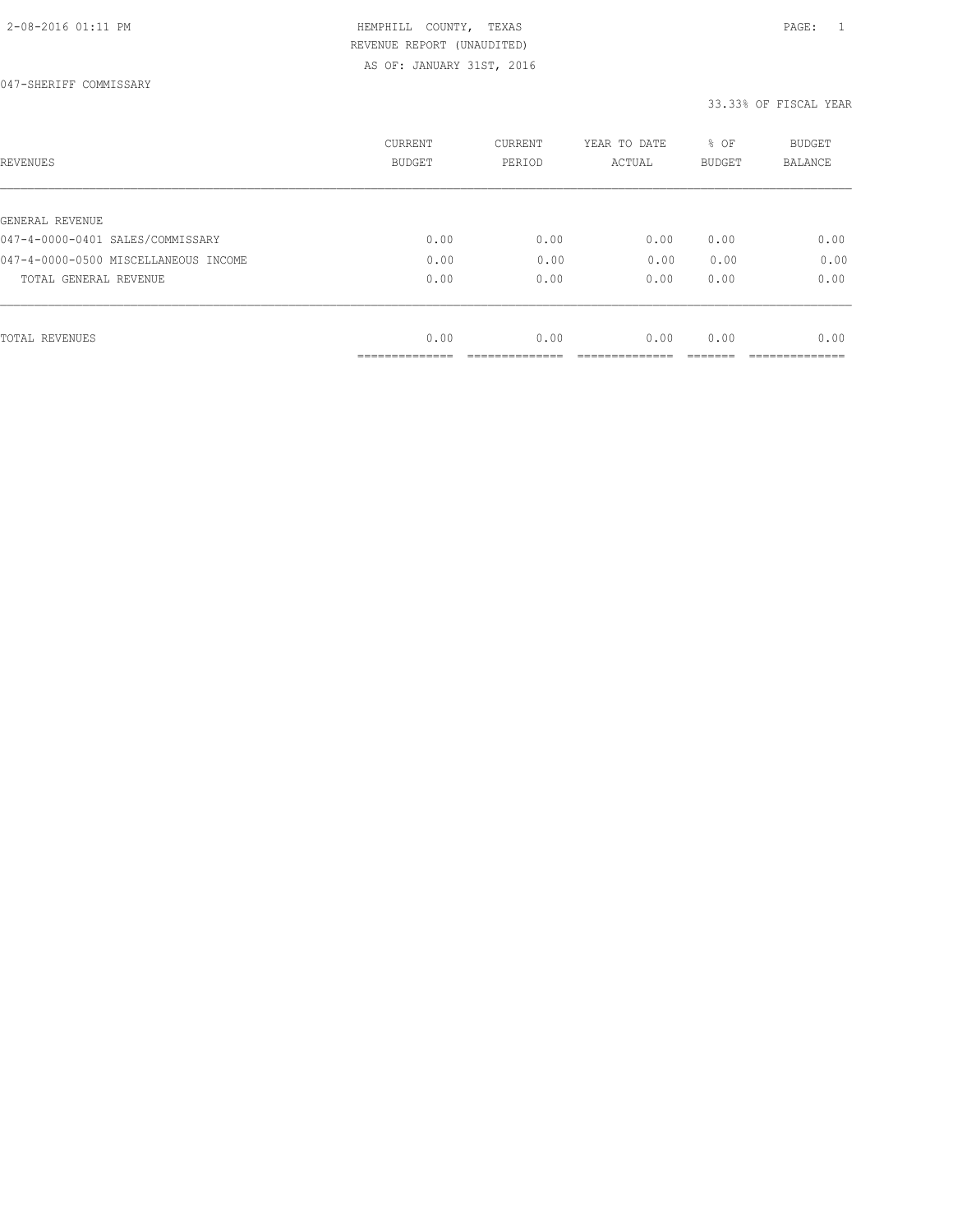047-SHERIFF COMMISSARY

| REVENUES                                            | <b>CURRENT</b><br><b>BUDGET</b> | CURRENT<br>PERIOD | YEAR TO DATE<br>ACTUAL | % OF<br><b>BUDGET</b> | <b>BUDGET</b><br>BALANCE |
|-----------------------------------------------------|---------------------------------|-------------------|------------------------|-----------------------|--------------------------|
|                                                     |                                 |                   |                        |                       |                          |
| GENERAL REVENUE<br>047-4-0000-0401 SALES/COMMISSARY | 0.00                            | 0.00              | 0.00                   | 0.00                  | 0.00                     |
| 047-4-0000-0500 MISCELLANEOUS INCOME                | 0.00                            | 0.00              | 0.00                   | 0.00                  | 0.00                     |
|                                                     |                                 |                   |                        |                       |                          |
| TOTAL GENERAL REVENUE                               | 0.00                            | 0.00              | 0.00                   | 0.00                  | 0.00                     |
|                                                     |                                 |                   |                        |                       |                          |
| TOTAL REVENUES                                      | 0.00                            | 0.00              | 0.00                   | 0.00                  | 0.00                     |
|                                                     | ____________                    |                   |                        |                       |                          |